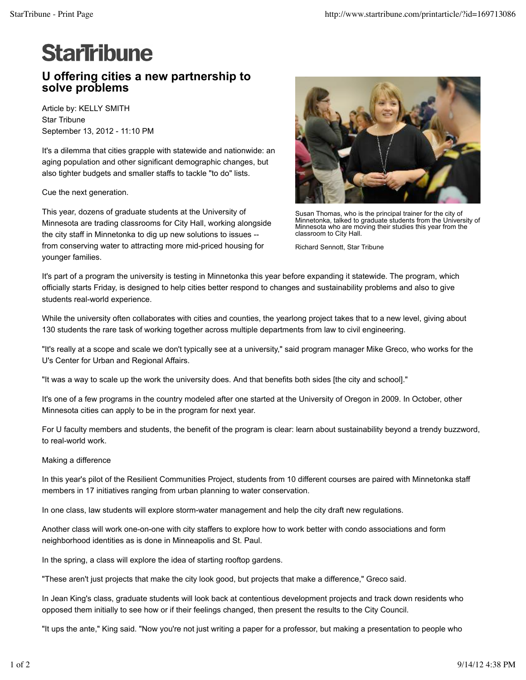## **StarTribune**

## **U offering cities a new partnership to solve problems**

Article by: KELLY SMITH Star Tribune September 13, 2012 - 11:10 PM

It's a dilemma that cities grapple with statewide and nationwide: an aging population and other significant demographic changes, but also tighter budgets and smaller staffs to tackle "to do" lists.

Cue the next generation.

This year, dozens of graduate students at the University of Minnesota are trading classrooms for City Hall, working alongside the city staff in Minnetonka to dig up new solutions to issues - from conserving water to attracting more mid-priced housing for younger families.



Susan Thomas, who is the principal trainer for the city of Minnetonka, talked to graduate students from the University of Minnesota who are moving their studies this year from the classroom to City Hall.

Richard Sennott, Star Tribune

It's part of a program the university is testing in Minnetonka this year before expanding it statewide. The program, which officially starts Friday, is designed to help cities better respond to changes and sustainability problems and also to give students real-world experience.

While the university often collaborates with cities and counties, the yearlong project takes that to a new level, giving about 130 students the rare task of working together across multiple departments from law to civil engineering.

"It's really at a scope and scale we don't typically see at a university," said program manager Mike Greco, who works for the U's Center for Urban and Regional Affairs.

"It was a way to scale up the work the university does. And that benefits both sides [the city and school]."

It's one of a few programs in the country modeled after one started at the University of Oregon in 2009. In October, other Minnesota cities can apply to be in the program for next year.

For U faculty members and students, the benefit of the program is clear: learn about sustainability beyond a trendy buzzword, to real-world work.

Making a difference

In this year's pilot of the Resilient Communities Project, students from 10 different courses are paired with Minnetonka staff members in 17 initiatives ranging from urban planning to water conservation.

In one class, law students will explore storm-water management and help the city draft new regulations.

Another class will work one-on-one with city staffers to explore how to work better with condo associations and form neighborhood identities as is done in Minneapolis and St. Paul.

In the spring, a class will explore the idea of starting rooftop gardens.

"These aren't just projects that make the city look good, but projects that make a difference," Greco said.

In Jean King's class, graduate students will look back at contentious development projects and track down residents who opposed them initially to see how or if their feelings changed, then present the results to the City Council.

"It ups the ante," King said. "Now you're not just writing a paper for a professor, but making a presentation to people who